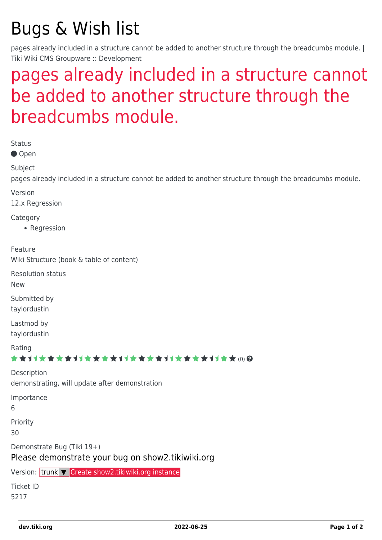## Bugs & Wish list

pages already included in a structure cannot be added to another structure through the breadcumbs module. | Tiki Wiki CMS Groupware :: Development

## [pages already included in a structure cannot](https://dev.tiki.org/item5217-pages-already-included-in-a-structure-cannot-be-added-to-another-structure-through-the-breadcumbs-module) [be added to another structure through the](https://dev.tiki.org/item5217-pages-already-included-in-a-structure-cannot-be-added-to-another-structure-through-the-breadcumbs-module) [breadcumbs module.](https://dev.tiki.org/item5217-pages-already-included-in-a-structure-cannot-be-added-to-another-structure-through-the-breadcumbs-module)

Status

● Open

Subject

pages already included in a structure cannot be added to another structure through the breadcumbs module.

Version

12.x Regression

Category

• Regression

Feature

Wiki Structure (book & table of content)

Resolution status

New

Submitted by taylordustin

Lastmod by taylordustin

Rating

\*\*\*\*\*\*\*\*\*\*\*\*\*\*\*\*\*\*\*\*\*\*\*\*\*\*\*\*\*\*

Description demonstrating, will update after demonstration Importance 6

Priority

30

Demonstrate Bug (Tiki 19+)

Please demonstrate your bug on show2.tikiwiki.org

Version: trunk ▼ [Create show2.tikiwiki.org instance](#page--1-0)

Ticket ID 5217